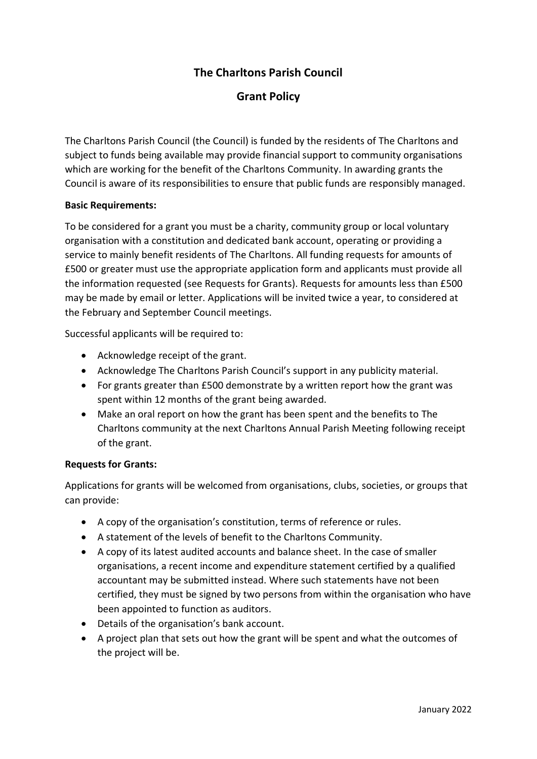# **The Charltons Parish Council**

# **Grant Policy**

The Charltons Parish Council (the Council) is funded by the residents of The Charltons and subject to funds being available may provide financial support to community organisations which are working for the benefit of the Charltons Community. In awarding grants the Council is aware of its responsibilities to ensure that public funds are responsibly managed.

#### **Basic Requirements:**

To be considered for a grant you must be a charity, community group or local voluntary organisation with a constitution and dedicated bank account, operating or providing a service to mainly benefit residents of The Charltons. All funding requests for amounts of £500 or greater must use the appropriate application form and applicants must provide all the information requested (see Requests for Grants). Requests for amounts less than £500 may be made by email or letter. Applications will be invited twice a year, to considered at the February and September Council meetings.

Successful applicants will be required to:

- Acknowledge receipt of the grant.
- Acknowledge The Charltons Parish Council's support in any publicity material.
- For grants greater than £500 demonstrate by a written report how the grant was spent within 12 months of the grant being awarded.
- Make an oral report on how the grant has been spent and the benefits to The Charltons community at the next Charltons Annual Parish Meeting following receipt of the grant.

#### **Requests for Grants:**

Applications for grants will be welcomed from organisations, clubs, societies, or groups that can provide:

- A copy of the organisation's constitution, terms of reference or rules.
- A statement of the levels of benefit to the Charltons Community.
- A copy of its latest audited accounts and balance sheet. In the case of smaller organisations, a recent income and expenditure statement certified by a qualified accountant may be submitted instead. Where such statements have not been certified, they must be signed by two persons from within the organisation who have been appointed to function as auditors.
- Details of the organisation's bank account.
- A project plan that sets out how the grant will be spent and what the outcomes of the project will be.